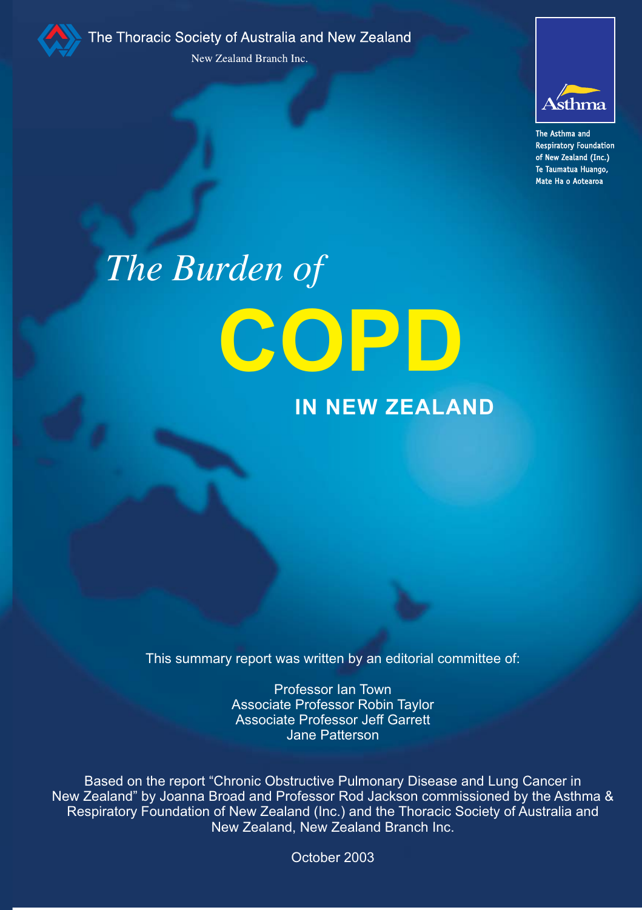

The Thoracic Society of Australia and New Zealand New Zealand Branch Inc.



The Asthma and **Respiratory Foundation** of New Zealand (Inc.) Te Taumatua Huango, a compose comp<sub>o</sub>

# *The Burden of* **COPD**

# **IN NEW ZEALAND**

This summary report was written by an editorial committee of:

Professor Ian Town Associate Professor Robin Taylor Associate Professor Jeff Garrett Jane Patterson

Based on the report "Chronic Obstructive Pulmonary Disease and Lung Cancer in New Zealand" by Joanna Broad and Professor Rod Jackson commissioned by the Asthma & Respiratory Foundation of New Zealand (Inc.) and the Thoracic Society of Australia and New Zealand, New Zealand Branch Inc.

October 2003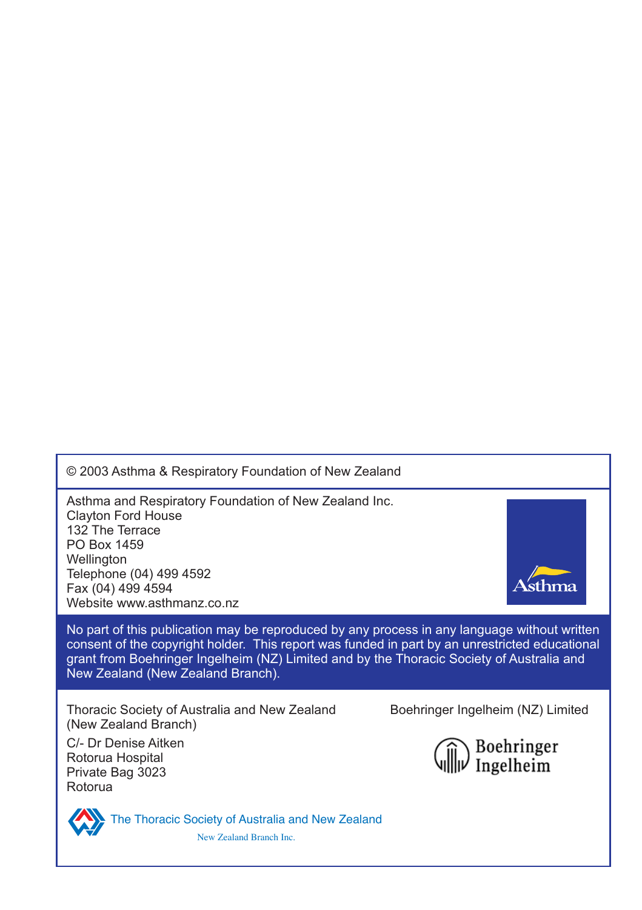© 2003 Asthma & Respiratory Foundation of New Zealand

Asthma and Respiratory Foundation of New Zealand Inc. Clayton Ford House 132 The Terrace PO Box 1459 **Wellington** Telephone (04) 499 4592 Fax (04) 499 4594 Website www.asthmanz.co.nz

No part of this publication may be reproduced by any process in any language without written consent of the copyright holder. This report was funded in part by an unrestricted educational grant from Boehringer Ingelheim (NZ) Limited and by the Thoracic Society of Australia and New Zealand (New Zealand Branch).

Thoracic Society of Australia and New Zealand Boehringer Ingelheim (NZ) Limited (New Zealand Branch)

C/- Dr Denise Aitken Rotorua Hospital Private Bag 3023 Rotorua





The Thoracic Society of Australia and New Zealand New Zealand Branch Inc.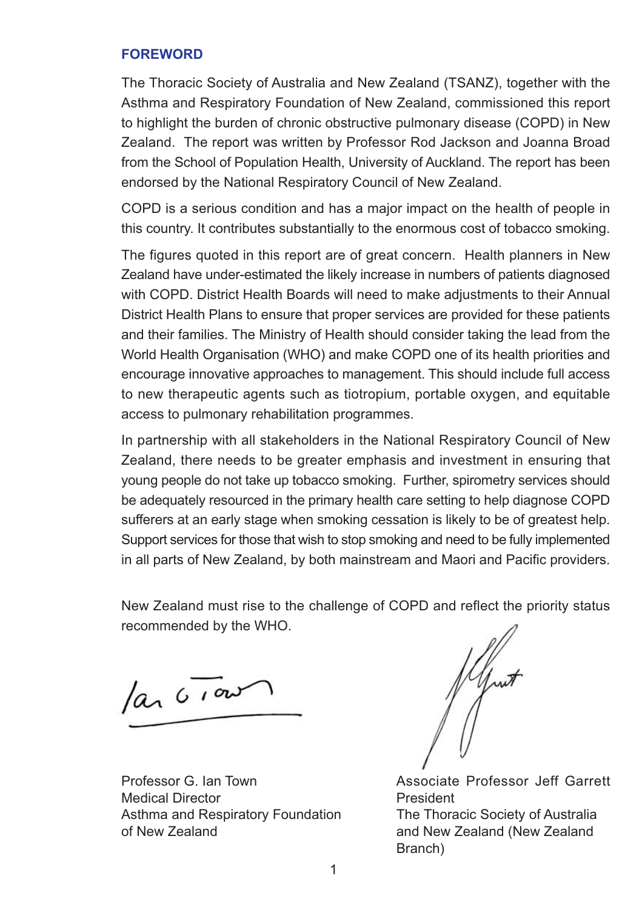#### **FOREWORD**

The Thoracic Society of Australia and New Zealand (TSANZ), together with the Asthma and Respiratory Foundation of New Zealand, commissioned this report to highlight the burden of chronic obstructive pulmonary disease (COPD) in New Zealand. The report was written by Professor Rod Jackson and Joanna Broad from the School of Population Health, University of Auckland. The report has been endorsed by the National Respiratory Council of New Zealand.

COPD is a serious condition and has a major impact on the health of people in this country. It contributes substantially to the enormous cost of tobacco smoking.

The figures quoted in this report are of great concern. Health planners in New Zealand have under-estimated the likely increase in numbers of patients diagnosed with COPD. District Health Boards will need to make adjustments to their Annual District Health Plans to ensure that proper services are provided for these patients and their families. The Ministry of Health should consider taking the lead from the World Health Organisation (WHO) and make COPD one of its health priorities and encourage innovative approaches to management. This should include full access to new therapeutic agents such as tiotropium, portable oxygen, and equitable access to pulmonary rehabilitation programmes.

In partnership with all stakeholders in the National Respiratory Council of New Zealand, there needs to be greater emphasis and investment in ensuring that young people do not take up tobacco smoking. Further, spirometry services should be adequately resourced in the primary health care setting to help diagnose COPD sufferers at an early stage when smoking cessation is likely to be of greatest help. Support services for those that wish to stop smoking and need to be fully implemented in all parts of New Zealand, by both mainstream and Maori and Pacific providers.

New Zealand must rise to the challenge of COPD and reflect the priority status recommended by the WHO.

 $\sqrt{a}$   $\sqrt{100}$ 

Medical Director **President** Asthma and Respiratory Foundation The Thoracic Society of Australia of New Zealand **and New Zealand (New Zealand**)

Professor G. Ian Town Associate Professor Jeff Garrett Branch)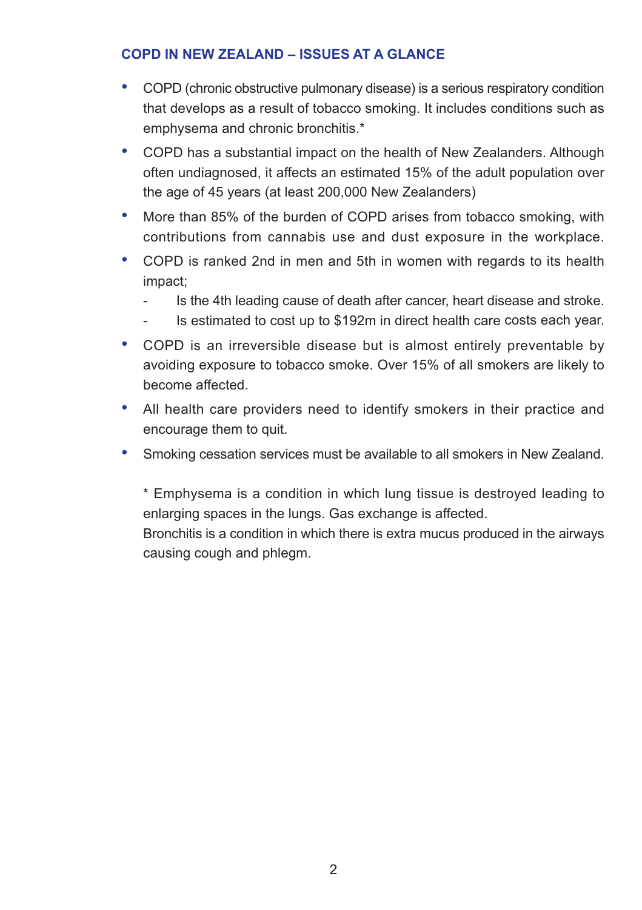# **COPD IN NEW ZEALAND – ISSUES AT A GLANCE**

- COPD (chronic obstructive pulmonary disease) is a serious respiratory condition that develops as a result of tobacco smoking. It includes conditions such as emphysema and chronic bronchitis.\*
- COPD has a substantial impact on the health of New Zealanders. Although often undiagnosed, it affects an estimated 15% of the adult population over the age of 45 years (at least 200,000 New Zealanders)
- More than 85% of the burden of COPD arises from tobacco smoking, with contributions from cannabis use and dust exposure in the workplace.
- COPD is ranked 2nd in men and 5th in women with regards to its health impact;
	- Is the 4th leading cause of death after cancer, heart disease and stroke.
	- Is estimated to cost up to \$192m in direct health care costs each year.
- COPD is an irreversible disease but is almost entirely preventable by avoiding exposure to tobacco smoke. Over 15% of all smokers are likely to become affected.
- All health care providers need to identify smokers in their practice and encourage them to quit.
- Smoking cessation services must be available to all smokers in New Zealand.

\* Emphysema is a condition in which lung tissue is destroyed leading to enlarging spaces in the lungs. Gas exchange is affected.

Bronchitis is a condition in which there is extra mucus produced in the airways causing cough and phlegm.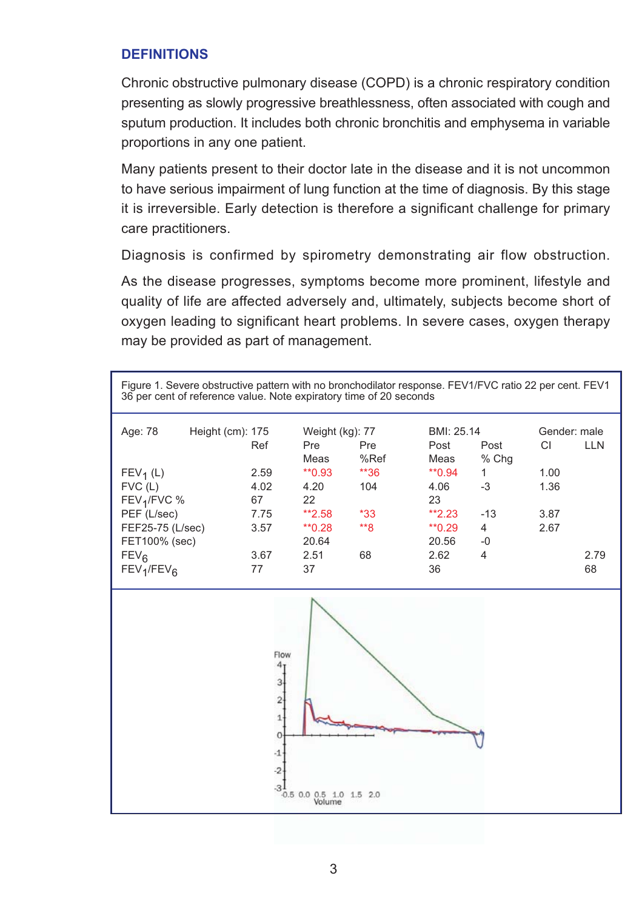# **DEFINITIONS**

Chronic obstructive pulmonary disease (COPD) is a chronic respiratory condition presenting as slowly progressive breathlessness, often associated with cough and sputum production. It includes both chronic bronchitis and emphysema in variable proportions in any one patient.

Many patients present to their doctor late in the disease and it is not uncommon to have serious impairment of lung function at the time of diagnosis. By this stage it is irreversible. Early detection is therefore a significant challenge for primary care practitioners.

Diagnosis is confirmed by spirometry demonstrating air flow obstruction.

As the disease progresses, symptoms become more prominent, lifestyle and quality of life are affected adversely and, ultimately, subjects become short of oxygen leading to significant heart problems. In severe cases, oxygen therapy may be provided as part of management.

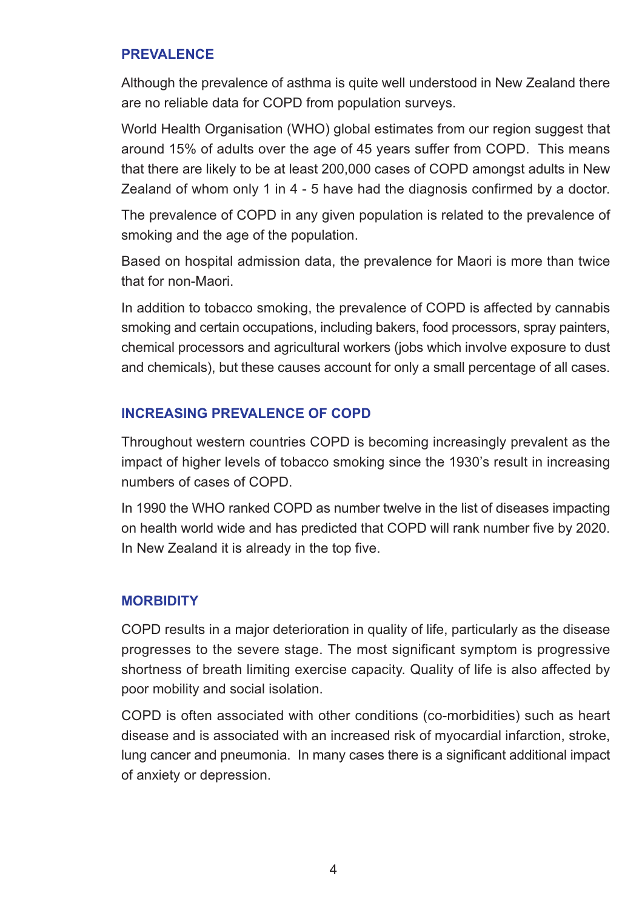#### **PREVALENCE**

Although the prevalence of asthma is quite well understood in New Zealand there are no reliable data for COPD from population surveys.

World Health Organisation (WHO) global estimates from our region suggest that around 15% of adults over the age of 45 years suffer from COPD. This means that there are likely to be at least 200,000 cases of COPD amongst adults in New Zealand of whom only 1 in 4 - 5 have had the diagnosis confirmed by a doctor.

The prevalence of COPD in any given population is related to the prevalence of smoking and the age of the population.

Based on hospital admission data, the prevalence for Maori is more than twice that for non-Maori.

In addition to tobacco smoking, the prevalence of COPD is affected by cannabis smoking and certain occupations, including bakers, food processors, spray painters, chemical processors and agricultural workers (jobs which involve exposure to dust and chemicals), but these causes account for only a small percentage of all cases.

## **INCREASING PREVALENCE OF COPD**

Throughout western countries COPD is becoming increasingly prevalent as the impact of higher levels of tobacco smoking since the 1930's result in increasing numbers of cases of COPD.

In 1990 the WHO ranked COPD as number twelve in the list of diseases impacting on health world wide and has predicted that COPD will rank number five by 2020. In New Zealand it is already in the top five.

#### **MORBIDITY**

COPD results in a major deterioration in quality of life, particularly as the disease progresses to the severe stage. The most significant symptom is progressive shortness of breath limiting exercise capacity. Quality of life is also affected by poor mobility and social isolation.

COPD is often associated with other conditions (co-morbidities) such as heart disease and is associated with an increased risk of myocardial infarction, stroke, lung cancer and pneumonia. In many cases there is a significant additional impact of anxiety or depression.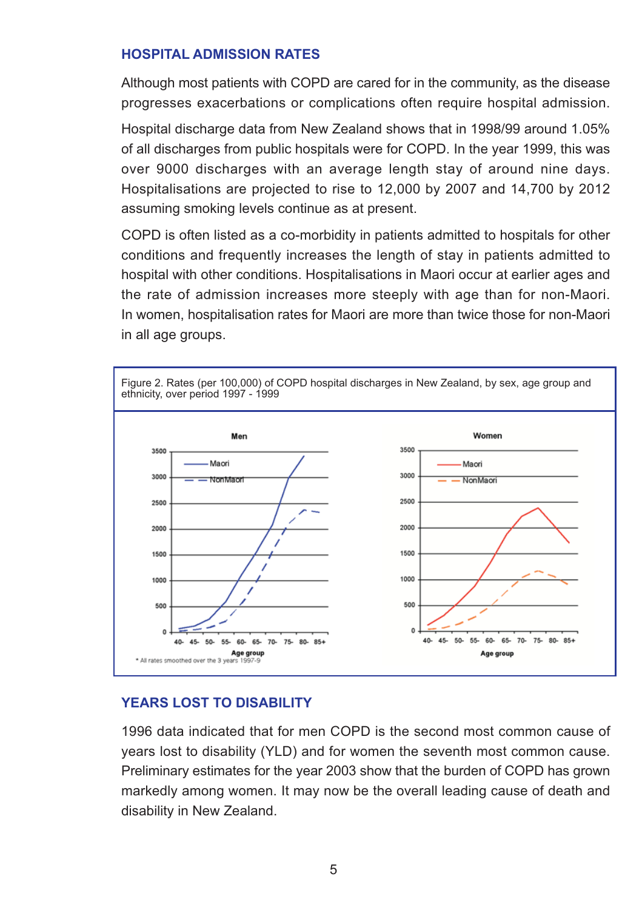#### **HOSPITAL ADMISSION RATES**

Although most patients with COPD are cared for in the community, as the disease progresses exacerbations or complications often require hospital admission.

Hospital discharge data from New Zealand shows that in 1998/99 around 1.05% of all discharges from public hospitals were for COPD. In the year 1999, this was over 9000 discharges with an average length stay of around nine days. Hospitalisations are projected to rise to 12,000 by 2007 and 14,700 by 2012 assuming smoking levels continue as at present.

COPD is often listed as a co-morbidity in patients admitted to hospitals for other conditions and frequently increases the length of stay in patients admitted to hospital with other conditions. Hospitalisations in Maori occur at earlier ages and the rate of admission increases more steeply with age than for non-Maori. In women, hospitalisation rates for Maori are more than twice those for non-Maori in all age groups.



## **YEARS LOST TO DISABILITY**

1996 data indicated that for men COPD is the second most common cause of years lost to disability (YLD) and for women the seventh most common cause. Preliminary estimates for the year 2003 show that the burden of COPD has grown markedly among women. It may now be the overall leading cause of death and disability in New Zealand.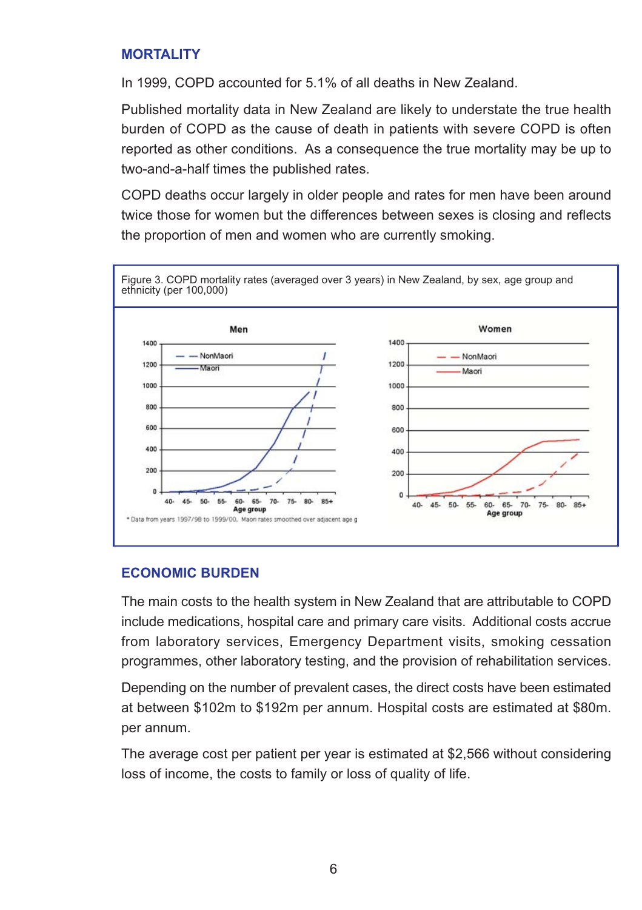#### **MORTALITY**

In 1999, COPD accounted for 5.1% of all deaths in New Zealand.

Published mortality data in New Zealand are likely to understate the true health burden of COPD as the cause of death in patients with severe COPD is often reported as other conditions. As a consequence the true mortality may be up to two-and-a-half times the published rates.

COPD deaths occur largely in older people and rates for men have been around twice those for women but the differences between sexes is closing and reflects the proportion of men and women who are currently smoking.



## **ECONOMIC BURDEN**

The main costs to the health system in New Zealand that are attributable to COPD include medications, hospital care and primary care visits. Additional costs accrue from laboratory services, Emergency Department visits, smoking cessation programmes, other laboratory testing, and the provision of rehabilitation services.

Depending on the number of prevalent cases, the direct costs have been estimated at between \$102m to \$192m per annum. Hospital costs are estimated at \$80m. per annum.

The average cost per patient per year is estimated at \$2,566 without considering loss of income, the costs to family or loss of quality of life.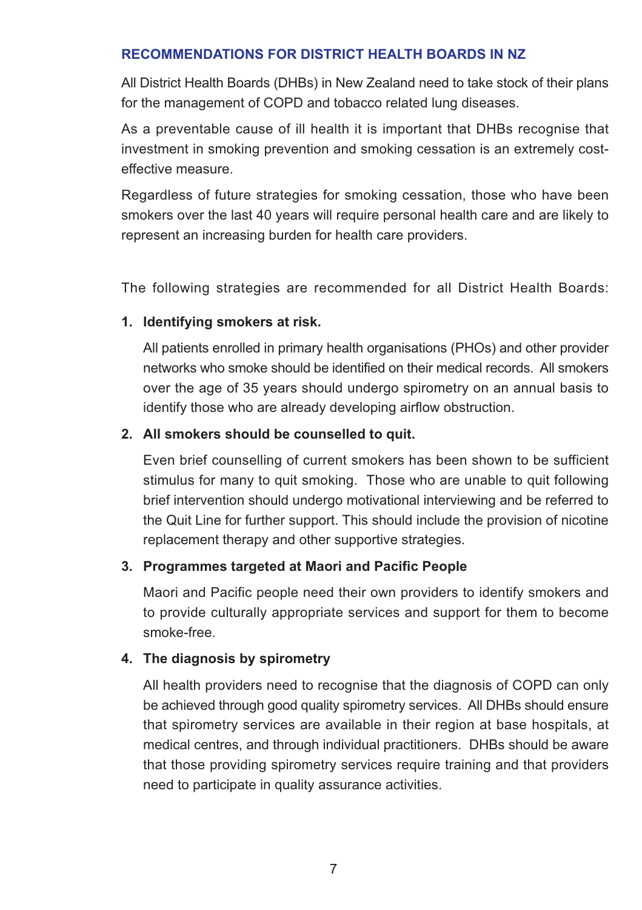#### **RECOMMENDATIONS FOR DISTRICT HEALTH BOARDS IN NZ**

All District Health Boards (DHBs) in New Zealand need to take stock of their plans for the management of COPD and tobacco related lung diseases.

As a preventable cause of ill health it is important that DHBs recognise that investment in smoking prevention and smoking cessation is an extremely costeffective measure.

Regardless of future strategies for smoking cessation, those who have been smokers over the last 40 years will require personal health care and are likely to represent an increasing burden for health care providers.

The following strategies are recommended for all District Health Boards:

#### **1. Identifying smokers at risk.**

All patients enrolled in primary health organisations (PHOs) and other provider networks who smoke should be identified on their medical records. All smokers over the age of 35 years should undergo spirometry on an annual basis to identify those who are already developing airflow obstruction.

#### **2. All smokers should be counselled to quit.**

Even brief counselling of current smokers has been shown to be sufficient stimulus for many to quit smoking. Those who are unable to quit following brief intervention should undergo motivational interviewing and be referred to the Quit Line for further support. This should include the provision of nicotine replacement therapy and other supportive strategies.

## **3. Programmes targeted at Maori and Pacific People**

Maori and Pacific people need their own providers to identify smokers and to provide culturally appropriate services and support for them to become smoke-free.

#### **4. The diagnosis by spirometry**

All health providers need to recognise that the diagnosis of COPD can only be achieved through good quality spirometry services. All DHBs should ensure that spirometry services are available in their region at base hospitals, at medical centres, and through individual practitioners. DHBs should be aware that those providing spirometry services require training and that providers need to participate in quality assurance activities.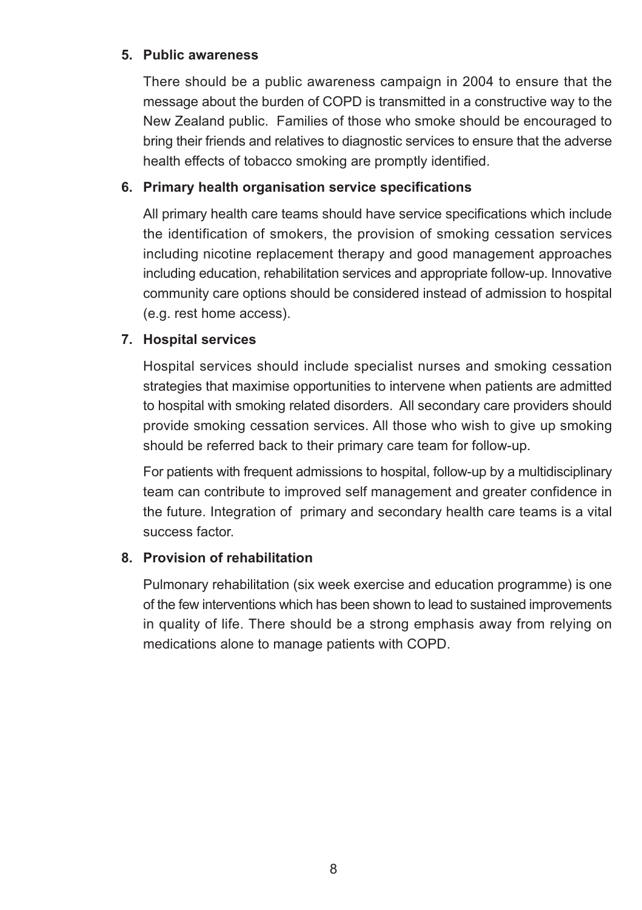# **5. Public awareness**

There should be a public awareness campaign in 2004 to ensure that the message about the burden of COPD is transmitted in a constructive way to the New Zealand public. Families of those who smoke should be encouraged to bring their friends and relatives to diagnostic services to ensure that the adverse health effects of tobacco smoking are promptly identified.

# **6. Primary health organisation service specifications**

All primary health care teams should have service specifications which include the identification of smokers, the provision of smoking cessation services including nicotine replacement therapy and good management approaches including education, rehabilitation services and appropriate follow-up. Innovative community care options should be considered instead of admission to hospital (e.g. rest home access).

# **7. Hospital services**

Hospital services should include specialist nurses and smoking cessation strategies that maximise opportunities to intervene when patients are admitted to hospital with smoking related disorders. All secondary care providers should provide smoking cessation services. All those who wish to give up smoking should be referred back to their primary care team for follow-up.

For patients with frequent admissions to hospital, follow-up by a multidisciplinary team can contribute to improved self management and greater confidence in the future. Integration of primary and secondary health care teams is a vital success factor.

## **8. Provision of rehabilitation**

Pulmonary rehabilitation (six week exercise and education programme) is one of the few interventions which has been shown to lead to sustained improvements in quality of life. There should be a strong emphasis away from relying on medications alone to manage patients with COPD.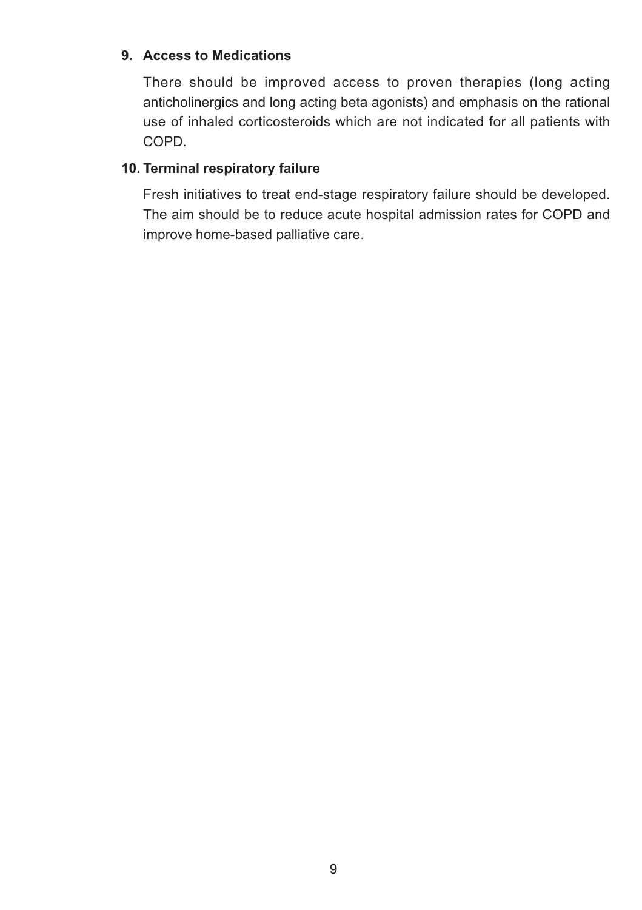# **9. Access to Medications**

There should be improved access to proven therapies (long acting anticholinergics and long acting beta agonists) and emphasis on the rational use of inhaled corticosteroids which are not indicated for all patients with COPD.

# **10. Terminal respiratory failure**

Fresh initiatives to treat end-stage respiratory failure should be developed. The aim should be to reduce acute hospital admission rates for COPD and improve home-based palliative care.